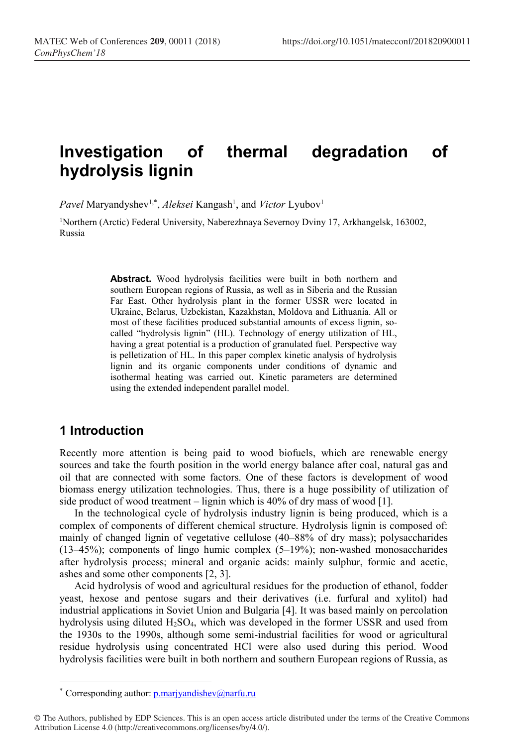# Investigation of thermal degradation of hydrolysis lignin

Pavel Maryandyshev<sup>1,\*</sup>, Aleksei Kangash<sup>1</sup>, and Victor Lyubov<sup>1</sup>

<sup>1</sup>Northern (Arctic) Federal University, Naberezhnaya Severnoy Dviny 17, Arkhangelsk, 163002, Russia

> Abstract. Wood hydrolysis facilities were built in both northern and southern European regions of Russia, as well as in Siberia and the Russian Far East. Other hydrolysis plant in the former USSR were located in Ukraine, Belarus, Uzbekistan, Kazakhstan, Moldova and Lithuania. All or most of these facilities produced substantial amounts of excess lignin, socalled "hydrolysis lignin" (HL). Technology of energy utilization of HL, having a great potential is a production of granulated fuel. Perspective way is pelletization of HL. In this paper complex kinetic analysis of hydrolysis lignin and its organic components under conditions of dynamic and isothermal heating was carried out. Kinetic parameters are determined using the extended independent parallel model.

### 1 Introduction

-

Recently more attention is being paid to wood biofuels, which are renewable energy sources and take the fourth position in the world energy balance after coal, natural gas and oil that are connected with some factors. One of these factors is development of wood biomass energy utilization technologies. Thus, there is a huge possibility of utilization of side product of wood treatment – lignin which is 40% of dry mass of wood [1].

In the technological cycle of hydrolysis industry lignin is being produced, which is a complex of components of different chemical structure. Hydrolysis lignin is composed of: mainly of changed lignin of vegetative cellulose (40–88% of dry mass); polysaccharides  $(13-45\%)$ ; components of lingo humic complex  $(5-19\%)$ ; non-washed monosaccharides after hydrolysis process; mineral and organic acids: mainly sulphur, formic and acetic, ashes and some other components [2, 3].

Acid hydrolysis of wood and agricultural residues for the production of ethanol, fodder yeast, hexose and pentose sugars and their derivatives (i.e. furfural and xylitol) had industrial applications in Soviet Union and Bulgaria [4]. It was based mainly on percolation hydrolysis using diluted  $H_2SO_4$ , which was developed in the former USSR and used from the 1930s to the 1990s, although some semi-industrial facilities for wood or agricultural residue hydrolysis using concentrated HCl were also used during this period. Wood hydrolysis facilities were built in both northern and southern European regions of Russia, as

<sup>\*</sup> Corresponding author:  $p$ .marjyandishev@narfu.ru

<sup>©</sup> The Authors, published by EDP Sciences. This is an open access article distributed under the terms of the Creative Commons Attribution License 4.0 (http://creativecommons.org/licenses/by/4.0/).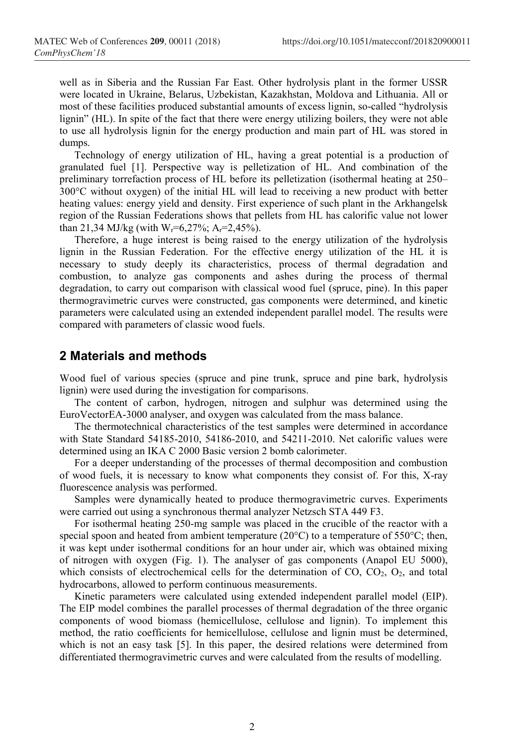well as in Siberia and the Russian Far East. Other hydrolysis plant in the former USSR were located in Ukraine, Belarus, Uzbekistan, Kazakhstan, Moldova and Lithuania. All or most of these facilities produced substantial amounts of excess lignin, so-called "hydrolysis lignin" (HL). In spite of the fact that there were energy utilizing boilers, they were not able to use all hydrolysis lignin for the energy production and main part of HL was stored in dumps.

Technology of energy utilization of HL, having a great potential is a production of granulated fuel [1]. Perspective way is pelletization of HL. And combination of the preliminary torrefaction process of HL before its pelletization (isothermal heating at 250– 300°С without oxygen) of the initial HL will lead to receiving a new product with better heating values: energy yield and density. First experience of such plant in the Arkhangelsk region of the Russian Federations shows that pellets from HL has calorific value not lower than 21,34 MJ/kg (with  $W_r = 6,27\%$ ; A<sub>r</sub>=2,45%).

Therefore, a huge interest is being raised to the energy utilization of the hydrolysis lignin in the Russian Federation. For the effective energy utilization of the HL it is necessary to study deeply its characteristics, process of thermal degradation and combustion, to analyze gas components and ashes during the process of thermal degradation, to carry out comparison with classical wood fuel (spruce, pine). In this paper thermogravimetric curves were constructed, gas components were determined, and kinetic parameters were calculated using an extended independent parallel model. The results were compared with parameters of classic wood fuels.

#### 2 Materials and methods

Wood fuel of various species (spruce and pine trunk, spruce and pine bark, hydrolysis lignin) were used during the investigation for comparisons.

The content of carbon, hydrogen, nitrogen and sulphur was determined using the EuroVectorEA-3000 analyser, and oxygen was calculated from the mass balance.

The thermotechnical characteristics of the test samples were determined in accordance with State Standard 54185-2010, 54186-2010, and 54211-2010. Net calorific values were determined using an IKA C 2000 Basic version 2 bomb calorimeter.

For a deeper understanding of the processes of thermal decomposition and combustion of wood fuels, it is necessary to know what components they consist of. For this, X-ray fluorescence analysis was performed.

Samples were dynamically heated to produce thermogravimetric curves. Experiments were carried out using a synchronous thermal analyzer Netzsch STA 449 F3.

For isothermal heating 250-mg sample was placed in the crucible of the reactor with a special spoon and heated from ambient temperature ( $20^{\circ}$ C) to a temperature of 550 $^{\circ}$ C; then, it was kept under isothermal conditions for an hour under air, which was obtained mixing of nitrogen with oxygen (Fig. 1). The analyser of gas components (Anapol EU 5000), which consists of electrochemical cells for the determination of  $CO$ ,  $CO<sub>2</sub>$ ,  $O<sub>2</sub>$ , and total hydrocarbons, allowed to perform continuous measurements.

Kinetic parameters were calculated using extended independent parallel model (EIP). The EIP model combines the parallel processes of thermal degradation of the three organic components of wood biomass (hemicellulose, cellulose and lignin). To implement this method, the ratio coefficients for hemicellulose, cellulose and lignin must be determined, which is not an easy task [5]. In this paper, the desired relations were determined from differentiated thermogravimetric curves and were calculated from the results of modelling.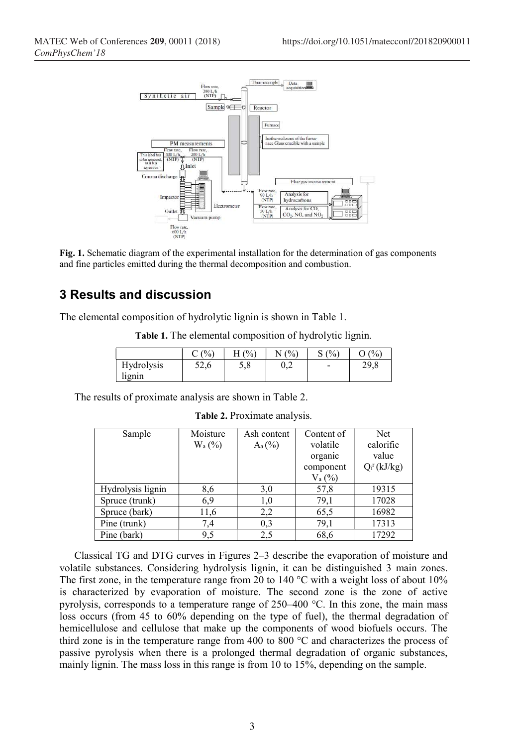

Fig. 1. Schematic diagram of the experimental installation for the determination of gas components and fine particles emitted during the thermal decomposition and combustion.

# 3 Results and discussion

The elemental composition of hydrolytic lignin is shown in Table 1.

Table 1. The elemental composition of hydrolytic lignin.

|                   | C(%)         | (9/0)     | (%)<br>N | (9/0)<br>ຕ               | (9/0) |
|-------------------|--------------|-----------|----------|--------------------------|-------|
| <b>Hydrolysis</b> | ، دء<br>22,0 | εo<br>3,0 | $_{0,2}$ | $\overline{\phantom{0}}$ | 29,8  |
| lıgnın            |              |           |          |                          |       |

The results of proximate analysis are shown in Table 2.

| Sample            | Moisture    | Ash content | Content of | Net            |
|-------------------|-------------|-------------|------------|----------------|
|                   | $W_{a}$ (%) | $A_{a}$ (%) | volatile   | calorific      |
|                   |             |             | organic    | value          |
|                   |             |             | component  | $Q_i^r(kJ/kg)$ |
|                   |             |             | $V_a$ (%)  |                |
| Hydrolysis lignin | 8,6         | 3,0         | 57,8       | 19315          |
| Spruce (trunk)    | 6,9         | 1,0         | 79,1       | 17028          |
| Spruce (bark)     | 11,6        | 2,2         | 65,5       | 16982          |
| Pine (trunk)      | 7.4         | 0,3         | 79,1       | 17313          |
| Pine (bark)       | 9,5         | 2,5         | 68,6       | 17292          |

Table 2. Proximate analysis.

Classical TG and DTG curves in Figures 2–3 describe the evaporation of moisture and volatile substances. Considering hydrolysis lignin, it can be distinguished 3 main zones. The first zone, in the temperature range from 20 to 140 °C with a weight loss of about 10% is characterized by evaporation of moisture. The second zone is the zone of active pyrolysis, corresponds to a temperature range of  $250-400$  °C. In this zone, the main mass loss occurs (from 45 to 60% depending on the type of fuel), the thermal degradation of hemicellulose and cellulose that make up the components of wood biofuels occurs. The third zone is in the temperature range from 400 to 800 °C and characterizes the process of passive pyrolysis when there is a prolonged thermal degradation of organic substances, mainly lignin. The mass loss in this range is from 10 to 15%, depending on the sample.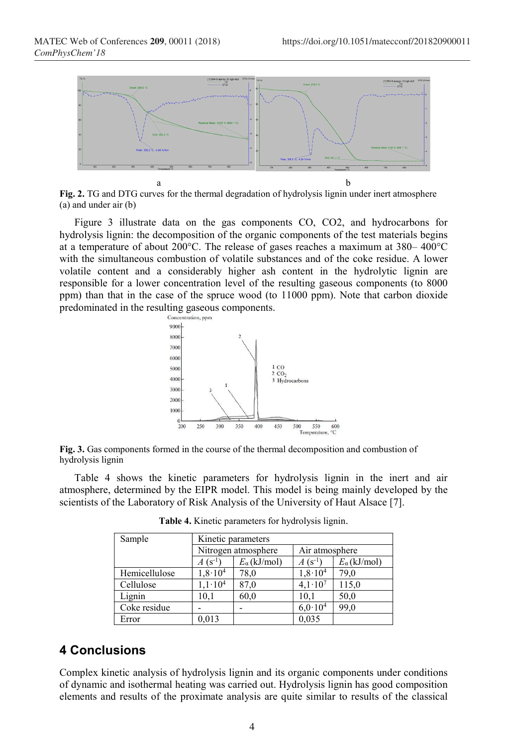

Fig. 2. TG and DTG curves for the thermal degradation of hydrolysis lignin under inert atmosphere (a) and under air (b)

Figure 3 illustrate data on the gas components CO, CO2, and hydrocarbons for hydrolysis lignin: the decomposition of the organic components of the test materials begins at a temperature of about 200°C. The release of gases reaches a maximum at 380– 400°C with the simultaneous combustion of volatile substances and of the coke residue. A lower volatile content and a considerably higher ash content in the hydrolytic lignin are responsible for a lower concentration level of the resulting gaseous components (to 8000 ppm) than that in the case of the spruce wood (to 11000 ppm). Note that carbon dioxide predominated in the resulting gaseous components.<br>Concentration, ppm



Fig. 3. Gas components formed in the course of the thermal decomposition and combustion of hydrolysis lignin

Table 4 shows the kinetic parameters for hydrolysis lignin in the inert and air atmosphere, determined by the EIPR model. This model is being mainly developed by the scientists of the Laboratory of Risk Analysis of the University of Haut Alsace [7].

| Sample        | Kinetic parameters  |                       |                      |                       |  |
|---------------|---------------------|-----------------------|----------------------|-----------------------|--|
|               | Nitrogen atmosphere |                       | Air atmosphere       |                       |  |
|               | $A(s^{-1})$         | $E_{\alpha}$ (kJ/mol) | $A(\mathbf{s}^{-1})$ | $E_{\alpha}$ (kJ/mol) |  |
| Hemicellulose | $1.8 \cdot 10^{4}$  | 78,0                  | $1,8.10^{4}$         | 79,0                  |  |
| Cellulose     | 1,1.10 <sup>4</sup> | 87,0                  | $4,1.10^{7}$         | 115,0                 |  |
| Lignin        | 10.1                | 60,0                  | 10,1                 | 50,0                  |  |
| Coke residue  |                     |                       | 6,0.10 <sup>4</sup>  | 99,0                  |  |
| Error         | 0.013               |                       | 0.035                |                       |  |

Table 4. Kinetic parameters for hydrolysis lignin.

# 4 Conclusions

Complex kinetic analysis of hydrolysis lignin and its organic components under conditions of dynamic and isothermal heating was carried out. Hydrolysis lignin has good composition elements and results of the proximate analysis are quite similar to results of the classical